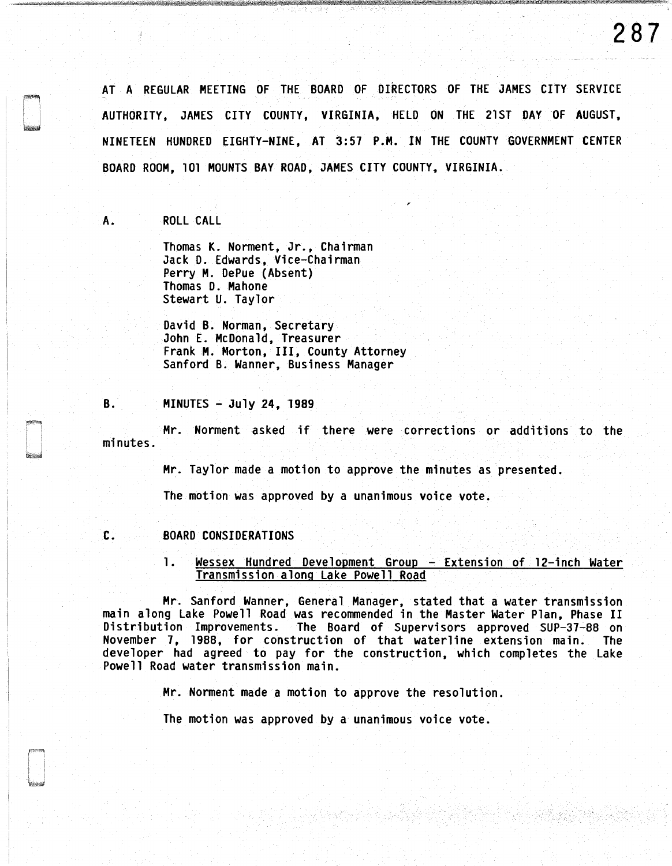**287** 

AT A REGULAR MEETING OF THE BOARD OF DIRECTORS OF THE JAMES CITY SERVICE AUTHORITY, JAMES CITY COUNTY, VIRGINIA, HELD ON THE 21ST DAY OF AUGUST, NINETEEN HUNDRED EIGHTY-NINE, AT 3:57 P.M. IN THE COUNTY GOVERNMENT CENTER BOARD ROOM, 101 MOUNTS BAY ROAD, JAMES CITY COUNTY, VIRGINIA.

A. ROLL CALL

Thomas K. Norment, Jr., Chairman Jack D. Edwards, Vice-Chairman Perry M. DePue (Absent) Thomas D. Mahone Stewart U. Taylor

David B. Norman, Secretary John E. McDonald, Treasurer Frank M. Morton, III, County Attorney Sanford B. Wanner, Business Manager

**B. MINUTES - July 24, 1989** 

Mr. Norment asked if there were corrections or additions to the minutes.

Mr. Taylor made a motion to approve the minutes as presented.

The motion was approved by a unanimous voice vote.

# C. BOARD CONSIDERATIONS

1. Wessex Hundred Development Group - Extension of 12-inch Water Transmission along Lake Powell Road

Mr. Sanford Wanner, General Manager, stated that a water transmission main along Lake Powell Road was recommended in the Master Water Plan, Phase II Distribution Improvements. The Board of Supervisors approved SUP-37-88 on November 7, 1988, for construction of that waterline extension main. The developer had agreed to pay for the construction, which completes the Lake Powell Road water transmission main.

Mr. Norment made a motion to approve the resolution.

The motion was approved by a unanimous voice vote.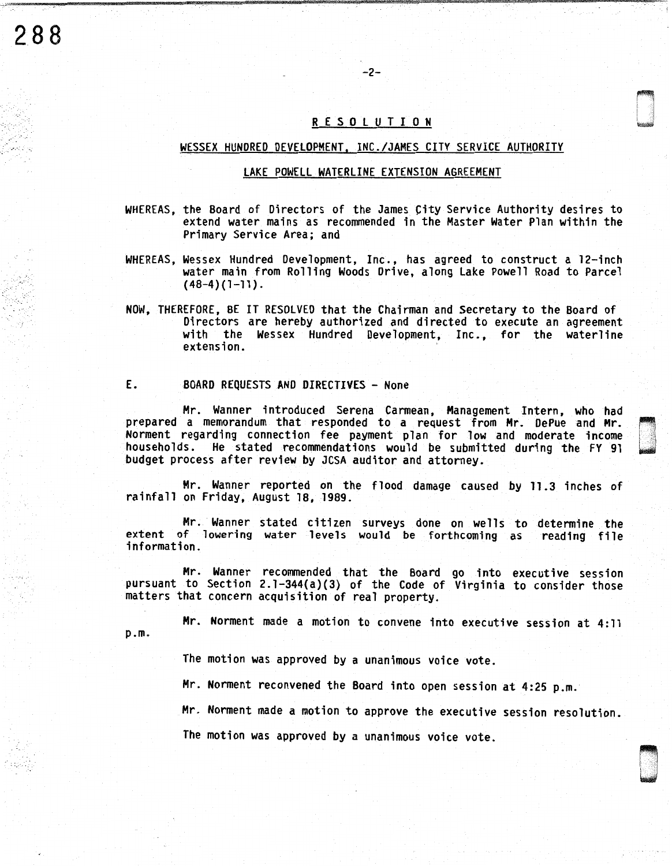# R E S O L U T I O N

-2-

### WESSEX HUNDRED DEVELOPMENT, INC./JAMES CITY SERVICE AUTHORITY

### LAKE POWELL WATERLINE EXTENSION AGREEMENT

- WHEREAS, the Board of Directors of the James City Service Authority desires to extend water mains as recommended in the Master Water Plan within the Primary Service Area; and
- WHEREAS, Wessex Hundred Development, Inc., has agreed to construct a 12-inch water main from Rolling Woods Drive, along Lake Powell Road to Parcel  $(48-4)(1-11)$ .
- NOW, THEREFORE, BE IT RESOLVED that the Chairman and Secretary to the Board of Directors are hereby authorized and directed to execute an agreement with the Wessex Hundred Development, Inc., for the waterline extension.

#### E. BOARD REQUESTS AND DIRECTIVES - None

**288** 

 $\tau$  ::...

Mr. Wanner introduced Serena Carmean, Management Intern, who had prepared a memorandum that responded to a request from Mr. DePue and Mr. Norment regarding connection fee payment plan for low and moderate income households. He stated recommendations would be submitted during the FY 91 budget process after review by JCSA auditor and attorney.

Mr. Wanner reported on the flood damage caused by 11.3 inches of rainfall on Friday, August 18, 1989.

Mr. Wanner stated citizen surveys done on wells to determine the extent of lowering water levels would be forthcoming as reading file information.

Mr. Wanner recommended that the Board go into executive session pursuant to Section 2.1-344(a)(3) of the Code of Virginia to consider those matters that concern acquisition of real property.

p.m. Mr. Norment made a motion to convene into executive session at 4:11

The motion was approved by a unanimous voice vote.

Mr. Norment reconvened the Board into open session at 4:25 p.m.

Mr. Norment made a motion to approve the executive session resolution.

D . .

The motion was approved by a unanimous voice vote.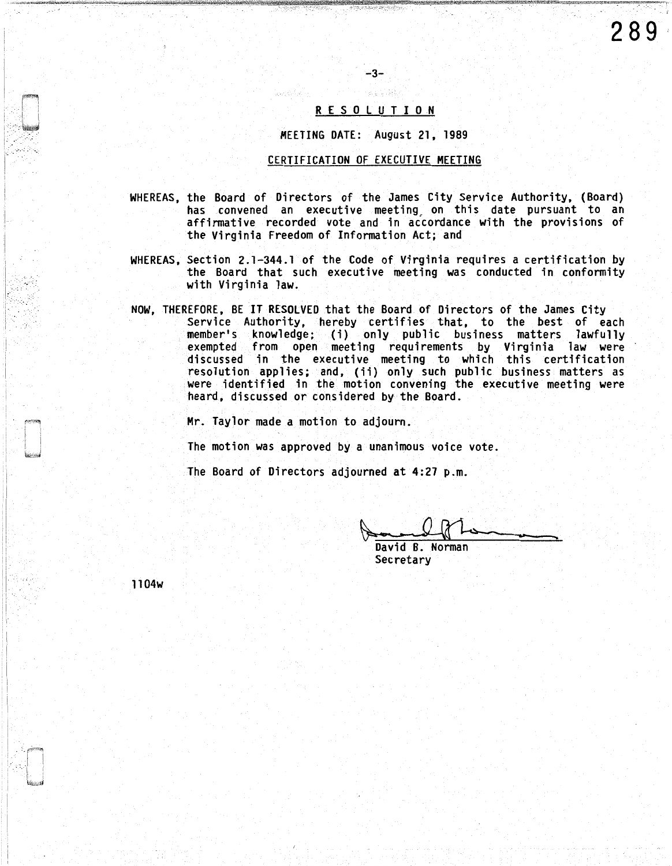#### R E S 0 L U T I 0 N

-3-

MEETING DATE: August 21, 1989

### CERTIFICATION OF EXECUTIVE MEETING

- WHEREAS, the Board of Directors of the James City Service Authority, (Board) has convened an executive meeting\_ on this date pursuant to an affirmative recorded vote and in accordance with the provisions of the Virginia Freedom of Information Act; and
- WHEREAS, Section 2.1-344.1 of the Code of Virginia requires a certification by the Board that such executive meeting was conducted in conformity with Virginia law.
- NOW, THEREFORE, BE IT RESOLVED that the Board of Directors of the James City Service Authority, hereby certifies that, to the best of each member's knowledge; (i) only public business matters lawfully exempted from open meeting requirements by Virginia law were discussed in the executive meeting to which this certification resolution applies; and, (ii) only such public business matters as were identified in the motion convening the executive meeting were heard, discussed or considered by the Board.

Mr. Taylor made a motion to adjourn.

The motion was approved by a unanimous voice vote.

The Board of Directors adjourned at 4:27 p.m.

David B. Norman Secretary

ll04w

. i

--'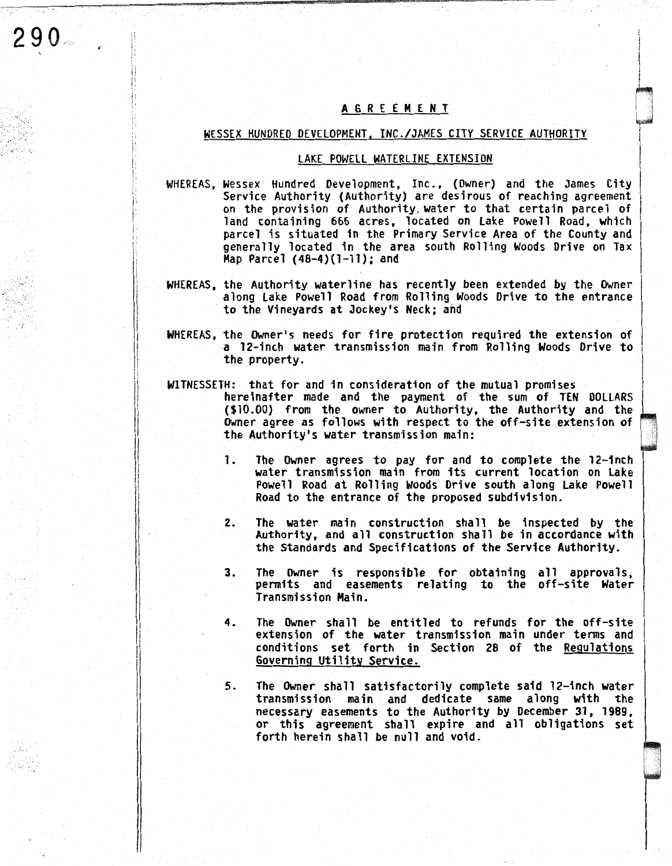# A G R E E M E N T

 $\mathbf{I}$ 

i

D

0

' i  $\mathbf{I}$  $\begin{array}{c} \hline \end{array}$ 

 $290 -$ 

\:

 $\ddot{!}$ i'

> $\mathbf{L}$  $\mathbf{I}$

ii I; Ii Ii jl

'I

li

I I

 $\sim$   $\sim$  $\sim$ 

# WESSEX HUNDRED DEVELOPMENT, INC./JAMES CITY SERVICE AUTHORITY

# LAKE POWELL WATERLINE EXTENSION

- WHEREAS, Wessex Hundred Development, Inc., (Owner) and the James City<br>Service Authority (Authority) are desirous of reaching agreement on the provision of Authority, water to that certain parcel of land containing 666 acres, located on Lake Powell Road, which parcel is situated in the Primary Service Area of the County and generally located in the area south Rolling Woods Drive on Tax Hap Parcel (48-4)(1-11); and
- WHEREAS, the Authority waterline has recently been extended by the Owner along Lake Powell Road from Rolling Woods Drive to the entrance to the Vineyards at Jockey's Neck; and
- WHEREAS, the Owner's needs for fire protection required the extension of a 12-inch water transmission main from Rolling Woods Drive to the property.
- WITNESSETH: that for and in consideration of the mutual promises hereinafter made and the payment of the sum of TEN DOLLARS (\$10.00) from the owner to Authority, the Authority and the Owner agree as follows with respect to the off-site extension of the Authority's water transmission main:
	- 1. The Owner agrees to pay for and to complete the 12-inch water transmission main from its current location on Lake Powell Road at Rolling Woods Drive south along Lake Powell Road to the entrance of the proposed subdivision.
	- 2. The water main construction shall be inspected by the Authority, and all construction shall be in accordance with the Standards and Specifications of the Service Authority.
	- 3. The Owner is responsible for obtaining all approvals, permits and easements relating to the off-site Water Transmission Main.
	- 4. The Owner shall be entitled to refunds for the off-site extension of the water transmission main under terms and conditions set forth in Section 28 of the Regulations Governing Utility Service.
	- 5. The Owner shall satisfactorily complete said 12-inch water transmission main and dedicate same along with the necessary easements to the Authority by December 31, 1989, or this agreement shall expire and all obligations set forth herein shall be null and void.